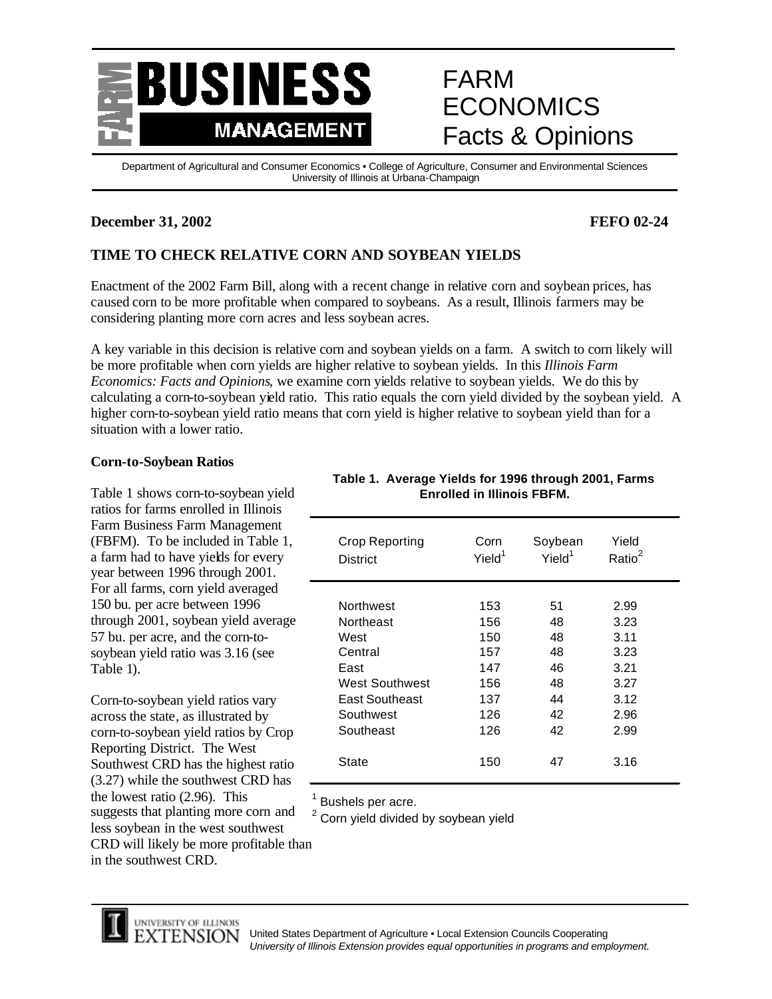

# FARM ECONOMICS Facts & Opinions

Department of Agricultural and Consumer Economics • College of Agriculture, Consumer and Environmental Sciences University of Illinois at Urbana-Champaign

## **December 31, 2002 FEFO 02-24**

# **TIME TO CHECK RELATIVE CORN AND SOYBEAN YIELDS**

Enactment of the 2002 Farm Bill, along with a recent change in relative corn and soybean prices, has caused corn to be more profitable when compared to soybeans. As a result, Illinois farmers may be considering planting more corn acres and less soybean acres.

A key variable in this decision is relative corn and soybean yields on a farm. A switch to corn likely will be more profitable when corn yields are higher relative to soybean yields. In this *Illinois Farm Economics: Facts and Opinions,* we examine corn yields relative to soybean yields. We do this by calculating a corn-to-soybean yield ratio. This ratio equals the corn yield divided by the soybean yield. A higher corn-to-soybean yield ratio means that corn yield is higher relative to soybean yield than for a situation with a lower ratio.

### **Corn-to-Soybean Ratios**

Table 1 shows corn-to-soybean yield ratios for farms enrolled in Illinois Farm Business Farm Management (FBFM). To be included in Table 1, a farm had to have yields for every year between 1996 through 2001. For all farms, corn yield averaged 150 bu. per acre between 1996 through 2001, soybean yield average 57 bu. per acre, and the corn-tosoybean yield ratio was 3.16 (see Table 1).

Corn-to-soybean yield ratios vary across the state, as illustrated by corn-to-soybean yield ratios by Crop Reporting District. The West Southwest CRD has the highest ratio (3.27) while the southwest CRD has the lowest ratio (2.96). This suggests that planting more corn and less soybean in the west southwest CRD will likely be more profitable than in the southwest CRD.

| <b>Crop Reporting</b><br><b>District</b> | Corn<br>Yield <sup>1</sup> | Soybean<br>Yield <sup>1</sup> | Yield<br>Ratio <sup>2</sup> |  |
|------------------------------------------|----------------------------|-------------------------------|-----------------------------|--|
| <b>Northwest</b>                         | 153                        | 51                            | 2.99                        |  |
| Northeast                                | 156                        | 48                            | 3.23                        |  |
| West                                     | 150                        | 48                            | 3.11                        |  |
| Central                                  | 157                        | 48                            | 3.23                        |  |
| East                                     | 147                        | 46                            | 3.21                        |  |
| <b>West Southwest</b>                    | 156                        | 48                            | 3.27                        |  |
| East Southeast                           | 137                        | 44                            | 3.12                        |  |
| Southwest                                | 126                        | 42                            | 2.96                        |  |
| Southeast                                | 126                        | 42                            | 2.99                        |  |
| State                                    | 150                        | 47                            | 3.16                        |  |

# **Table 1. Average Yields for 1996 through 2001, Farms Enrolled in Illinois FBFM.**

<sup>1</sup> Bushels per acre.

 $2$  Corn yield divided by soybean yield



United States Department of Agriculture • Local Extension Councils Cooperating *University of Illinois Extension provides equal opportunities in programs and employment.*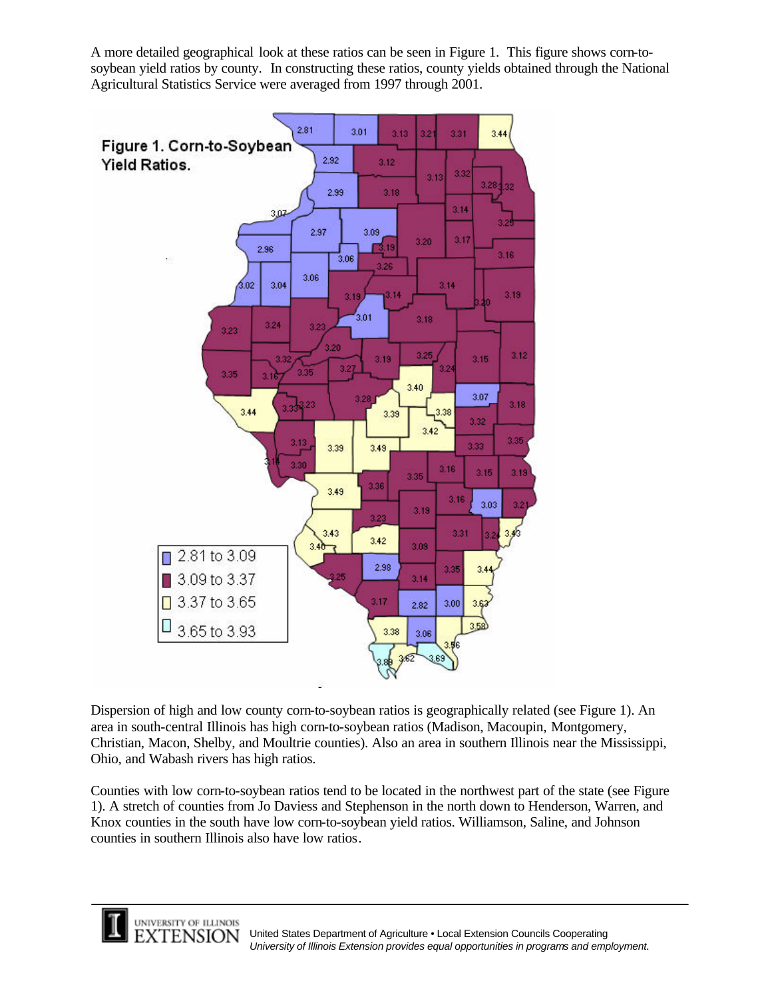A more detailed geographical look at these ratios can be seen in Figure 1. This figure shows corn-tosoybean yield ratios by county. In constructing these ratios, county yields obtained through the National Agricultural Statistics Service were averaged from 1997 through 2001.



Dispersion of high and low county corn-to-soybean ratios is geographically related (see Figure 1). An area in south-central Illinois has high corn-to-soybean ratios (Madison, Macoupin, Montgomery, Christian, Macon, Shelby, and Moultrie counties). Also an area in southern Illinois near the Mississippi, Ohio, and Wabash rivers has high ratios.

Counties with low corn-to-soybean ratios tend to be located in the northwest part of the state (see Figure 1). A stretch of counties from Jo Daviess and Stephenson in the north down to Henderson, Warren, and Knox counties in the south have low corn-to-soybean yield ratios. Williamson, Saline, and Johnson counties in southern Illinois also have low ratios.